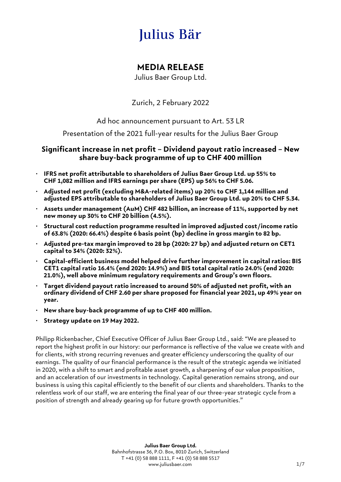# Julius Bär

# **MEDIA RELEASE**

Julius Baer Group Ltd.

Zurich, 2 February 2022

Ad hoc announcement pursuant to Art. 53 LR

Presentation of the 2021 full-year results for the Julius Baer Group

# **Significant increase in net profit – Dividend payout ratio increased – New share buy-back programme of up to CHF 400 million**

- **IFRS net profit attributable to shareholders of Julius Baer Group Ltd. up 55% to CHF 1,082 million and IFRS earnings per share (EPS) up 56% to CHF 5.06.**
- **Adjusted net profit (excluding M&A-related items) up 20% to CHF 1,144 million and adjusted EPS attributable to shareholders of Julius Baer Group Ltd. up 20% to CHF 5.34.**
- **Assets under management (AuM) CHF 482 billion, an increase of 11%, supported by net new money up 30% to CHF 20 billion (4.5%).**
- **Structural cost reduction programme resulted in improved adjusted cost/income ratio of 63.8% (2020: 66.4%) despite 6 basis point (bp) decline in gross margin to 82 bp.**
- **Adjusted pre-tax margin improved to 28 bp (2020: 27 bp) and adjusted return on CET1 capital to 34% (2020: 32%).**
- **Capital-efficient business model helped drive further improvement in capital ratios: BIS CET1 capital ratio 16.4% (end 2020: 14.9%) and BIS total capital ratio 24.0% (end 2020: 21.0%), well above minimum regulatory requirements and Group's own floors.**
- **Target dividend payout ratio increased to around 50% of adjusted net profit, with an ordinary dividend of CHF 2.60 per share proposed for financial year 2021, up 49% year on year.**
- **New share buy-back programme of up to CHF 400 million.**
- **Strategy update on 19 May 2022.**

Philipp Rickenbacher, Chief Executive Officer of Julius Baer Group Ltd., said: "We are pleased to report the highest profit in our history: our performance is reflective of the value we create with and for clients, with strong recurring revenues and greater efficiency underscoring the quality of our earnings. The quality of our financial performance is the result of the strategic agenda we initiated in 2020, with a shift to smart and profitable asset growth, a sharpening of our value proposition, and an acceleration of our investments in technology. Capital generation remains strong, and our business is using this capital efficiently to the benefit of our clients and shareholders. Thanks to the relentless work of our staff, we are entering the final year of our three-year strategic cycle from a position of strength and already gearing up for future growth opportunities."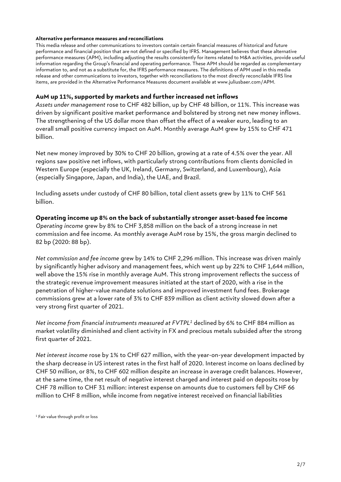#### **Alternative performance measures and reconciliations**

This media release and other communications to investors contain certain financial measures of historical and future performance and financial position that are not defined or specified by IFRS. Management believes that these alternative performance measures (APM), including adjusting the results consistently for items related to M&A activities, provide useful information regarding the Group's financial and operating performance. These APM should be regarded as complementary information to, and not as a substitute for, the IFRS performance measures. The definitions of APM used in this media release and other communications to investors, together with reconciliations to the most directly reconcilable IFRS line items, are provided in the Alternative Performance Measures document available at [www.juliusbaer.com/APM.](http://www.juliusbaer.com/APM)

#### **AuM up 11%, supported by markets and further increased net inflows**

*Assets under management* rose to CHF 482 billion, up by CHF 48 billion, or 11%. This increase was driven by significant positive market performance and bolstered by strong net new money inflows. The strengthening of the US dollar more than offset the effect of a weaker euro, leading to an overall small positive currency impact on AuM. Monthly average AuM grew by 15% to CHF 471 billion.

Net new money improved by 30% to CHF 20 billion, growing at a rate of 4.5% over the year. All regions saw positive net inflows, with particularly strong contributions from clients domiciled in Western Europe (especially the UK, Ireland, Germany, Switzerland, and Luxembourg), Asia (especially Singapore, Japan, and India), the UAE, and Brazil.

Including assets under custody of CHF 80 billion, total client assets grew by 11% to CHF 561 billion.

**Operating income up 8% on the back of substantially stronger asset-based fee income** *Operating income* grew by 8% to CHF 3,858 million on the back of a strong increase in net commission and fee income. As monthly average AuM rose by 15%, the gross margin declined to 82 bp (2020: 88 bp).

*Net commission and fee income* grew by 14% to CHF 2,296 million. This increase was driven mainly by significantly higher advisory and management fees, which went up by 22% to CHF 1,644 million, well above the 15% rise in monthly average AuM. This strong improvement reflects the success of the strategic revenue improvement measures initiated at the start of 2020, with a rise in the penetration of higher-value mandate solutions and improved investment fund fees. Brokerage commissions grew at a lower rate of 3% to CHF 839 million as client activity slowed down after a very strong first quarter of 2021.

*Net income from financial instruments measured at FVTPL<sup>1</sup>* declined by 6% to CHF 884 million as market volatility diminished and client activity in FX and precious metals subsided after the strong first quarter of 2021.

*Net interest income* rose by 1% to CHF 627 million, with the year-on-year development impacted by the sharp decrease in US interest rates in the first half of 2020. Interest income on loans declined by CHF 50 million, or 8%, to CHF 602 million despite an increase in average credit balances. However, at the same time, the net result of negative interest charged and interest paid on deposits rose by CHF 78 million to CHF 31 million: interest expense on amounts due to customers fell by CHF 66 million to CHF 8 million, while income from negative interest received on financial liabilities

<sup>1</sup> Fair value through profit or loss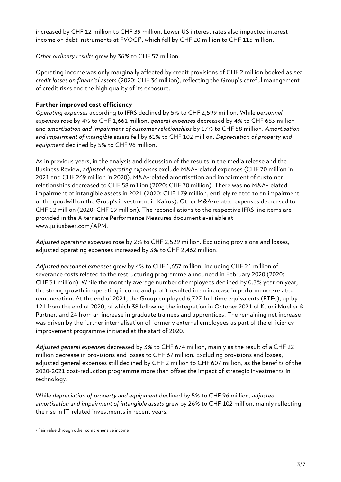increased by CHF 12 million to CHF 39 million. Lower US interest rates also impacted interest income on debt instruments at FVOCI<sup>2</sup> , which fell by CHF 20 million to CHF 115 million.

*Other ordinary results* grew by 36% to CHF 52 million.

Operating income was only marginally affected by credit provisions of CHF 2 million booked as *net credit losses on financial assets* (2020: CHF 36 million), reflecting the Group's careful management of credit risks and the high quality of its exposure.

## **Further improved cost efficiency**

*Operating expenses* according to IFRS declined by 5% to CHF 2,599 million. While *personnel expenses* rose by 4% to CHF 1,661 million, *general expenses* decreased by 4% to CHF 683 million and *amortisation and impairment of customer relationships* by 17% to CHF 58 million. *Amortisation and impairment of intangible assets* fell by 61% to CHF 102 million. *Depreciation of property and equipment* declined by 5% to CHF 96 million.

As in previous years, in the analysis and discussion of the results in the media release and the Business Review, *adjusted operating expenses* exclude M&A-related expenses (CHF 70 million in 2021 and CHF 269 million in 2020). M&A-related amortisation and impairment of customer relationships decreased to CHF 58 million (2020: CHF 70 million). There was no M&A-related impairment of intangible assets in 2021 (2020: CHF 179 million, entirely related to an impairment of the goodwill on the Group's investment in Kairos). Other M&A-related expenses decreased to CHF 12 million (2020: CHF 19 million). The reconciliations to the respective IFRS line items are provided in the Alternative Performance Measures document available at [www.juliusbaer.com/APM.](http://www.juliusbaer.com/APM)

*Adjusted operating expenses* rose by 2% to CHF 2,529 million. Excluding provisions and losses, adjusted operating expenses increased by 3% to CHF 2,462 million.

*Adjusted personnel expenses* grew by 4% to CHF 1,657 million, including CHF 21 million of severance costs related to the restructuring programme announced in February 2020 (2020: CHF 31 million). While the monthly average number of employees declined by 0.3% year on year, the strong growth in operating income and profit resulted in an increase in performance-related remuneration. At the end of 2021, the Group employed 6,727 full-time equivalents (FTEs), up by 121 from the end of 2020, of which 38 following the integration in October 2021 of Kuoni Mueller & Partner, and 24 from an increase in graduate trainees and apprentices. The remaining net increase was driven by the further internalisation of formerly external employees as part of the efficiency improvement programme initiated at the start of 2020.

*Adjusted general expenses* decreased by 3% to CHF 674 million, mainly as the result of a CHF 22 million decrease in provisions and losses to CHF 67 million. Excluding provisions and losses, adjusted general expenses still declined by CHF 2 million to CHF 607 million, as the benefits of the 2020-2021 cost-reduction programme more than offset the impact of strategic investments in technology.

While *depreciation of property and equipment* declined by 5% to CHF 96 million, *adjusted amortisation and impairment of intangible assets* grew by 26% to CHF 102 million, mainly reflecting the rise in IT-related investments in recent years.

<sup>2</sup> Fair value through other comprehensive income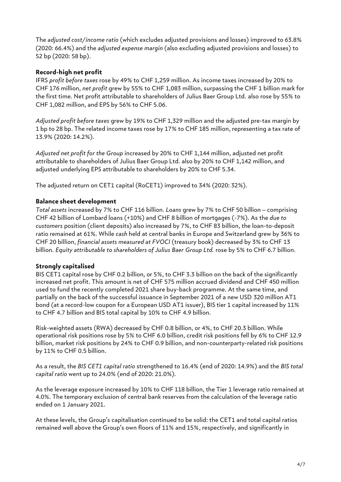The *adjusted cost/income ratio* (which excludes adjusted provisions and losses) improved to 63.8% (2020: 66.4%) and the *adjusted expense margin* (also excluding adjusted provisions and losses) to 52 bp (2020: 58 bp).

## **Record-high net profit**

IFRS *profit before taxes* rose by 49% to CHF 1,259 million. As income taxes increased by 20% to CHF 176 million, *net profit* grew by 55% to CHF 1,083 million, surpassing the CHF 1 billion mark for the first time. Net profit attributable to shareholders of Julius Baer Group Ltd. also rose by 55% to CHF 1,082 million, and EPS by 56% to CHF 5.06.

*Adjusted profit before taxes* grew by 19% to CHF 1,329 million and the adjusted pre-tax margin by 1 bp to 28 bp. The related income taxes rose by 17% to CHF 185 million, representing a tax rate of 13.9% (2020: 14.2%).

*Adjusted net profit for the Group* increased by 20% to CHF 1,144 million, adjusted net profit attributable to shareholders of Julius Baer Group Ltd. also by 20% to CHF 1,142 million, and adjusted underlying EPS attributable to shareholders by 20% to CHF 5.34.

The adjusted return on CET1 capital (RoCET1) improved to 34% (2020: 32%).

## **Balance sheet development**

*Total assets* increased by 7% to CHF 116 billion. *Loans* grew by 7% to CHF 50 billion ‒ comprising CHF 42 billion of Lombard loans (+10%) and CHF 8 billion of mortgages (-7%). As the *due to customers* position (client deposits) also increased by 7%, to CHF 83 billion, the loan-to-deposit ratio remained at 61%. While *cash* held at central banks in Europe and Switzerland grew by 36% to CHF 20 billion, *financial assets measured at FVOCI* (treasury book) decreased by 3% to CHF 13 billion. *Equity attributable to shareholders of Julius Baer Group Ltd.* rose by 5% to CHF 6.7 billion.

#### **Strongly capitalised**

BIS CET1 capital rose by CHF 0.2 billion, or 5%, to CHF 3.3 billion on the back of the significantly increased net profit. This amount is net of CHF 575 million accrued dividend and CHF 450 million used to fund the recently completed 2021 share buy-back programme. At the same time, and partially on the back of the successful issuance in September 2021 of a new USD 320 million AT1 bond (at a record-low coupon for a European USD AT1 issuer), BIS tier 1 capital increased by 11% to CHF 4.7 billion and BIS total capital by 10% to CHF 4.9 billion.

Risk-weighted assets (RWA) decreased by CHF 0.8 billion, or 4%, to CHF 20.3 billion. While operational risk positions rose by 5% to CHF 6.0 billion, credit risk positions fell by 6% to CHF 12.9 billion, market risk positions by 24% to CHF 0.9 billion, and non-counterparty-related risk positions by 11% to CHF 0.5 billion.

As a result, the *BIS CET1 capital ratio* strengthened to 16.4% (end of 2020: 14.9%) and the *BIS total capital ratio* went up to 24.0% (end of 2020: 21.0%).

As the leverage exposure increased by 10% to CHF 118 billion, the Tier 1 leverage ratio remained at 4.0%. The temporary exclusion of central bank reserves from the calculation of the leverage ratio ended on 1 January 2021.

At these levels, the Group's capitalisation continued to be solid: the CET1 and total capital ratios remained well above the Group's own floors of 11% and 15%, respectively, and significantly in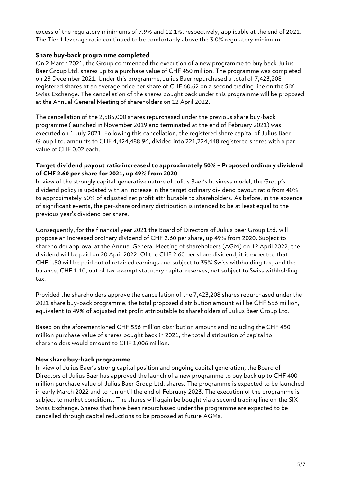excess of the regulatory minimums of 7.9% and 12.1%, respectively, applicable at the end of 2021. The Tier 1 leverage ratio continued to be comfortably above the 3.0% regulatory minimum.

#### **Share buy-back programme completed**

On 2 March 2021, the Group commenced the execution of a new programme to buy back Julius Baer Group Ltd. shares up to a purchase value of CHF 450 million. The programme was completed on 23 December 2021. Under this programme, Julius Baer repurchased a total of 7,423,208 registered shares at an average price per share of CHF 60.62 on a second trading line on the SIX Swiss Exchange. The cancellation of the shares bought back under this programme will be proposed at the Annual General Meeting of shareholders on 12 April 2022.

The cancellation of the 2,585,000 shares repurchased under the previous share buy-back programme (launched in November 2019 and terminated at the end of February 2021) was executed on 1 July 2021. Following this cancellation, the registered share capital of Julius Baer Group Ltd. amounts to CHF 4,424,488.96, divided into 221,224,448 registered shares with a par value of CHF 0.02 each.

#### **Target dividend payout ratio increased to approximately 50% – Proposed ordinary dividend of CHF 2.60 per share for 2021, up 49% from 2020**

In view of the strongly capital-generative nature of Julius Baer's business model, the Group's dividend policy is updated with an increase in the target ordinary dividend payout ratio from 40% to approximately 50% of adjusted net profit attributable to shareholders. As before, in the absence of significant events, the per-share ordinary distribution is intended to be at least equal to the previous year's dividend per share.

Consequently, for the financial year 2021 the Board of Directors of Julius Baer Group Ltd. will propose an increased ordinary dividend of CHF 2.60 per share, up 49% from 2020. Subject to shareholder approval at the Annual General Meeting of shareholders (AGM) on 12 April 2022, the dividend will be paid on 20 April 2022. Of the CHF 2.60 per share dividend, it is expected that CHF 1.50 will be paid out of retained earnings and subject to 35% Swiss withholding tax, and the balance, CHF 1.10, out of tax-exempt statutory capital reserves, not subject to Swiss withholding tax.

Provided the shareholders approve the cancellation of the 7,423,208 shares repurchased under the 2021 share buy-back programme, the total proposed distribution amount will be CHF 556 million, equivalent to 49% of adjusted net profit attributable to shareholders of Julius Baer Group Ltd.

Based on the aforementioned CHF 556 million distribution amount and including the CHF 450 million purchase value of shares bought back in 2021, the total distribution of capital to shareholders would amount to CHF 1,006 million.

#### **New share buy-back programme**

In view of Julius Baer's strong capital position and ongoing capital generation, the Board of Directors of Julius Baer has approved the launch of a new programme to buy back up to CHF 400 million purchase value of Julius Baer Group Ltd. shares. The programme is expected to be launched in early March 2022 and to run until the end of February 2023. The execution of the programme is subject to market conditions. The shares will again be bought via a second trading line on the SIX Swiss Exchange. Shares that have been repurchased under the programme are expected to be cancelled through capital reductions to be proposed at future AGMs.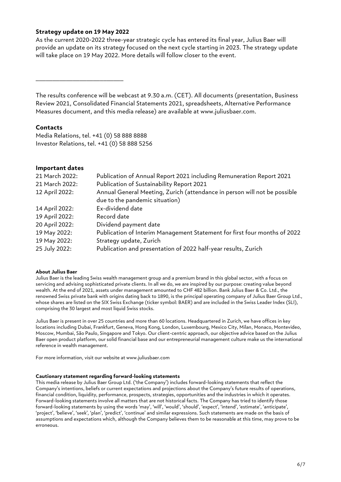#### **Strategy update on 19 May 2022**

As the current 2020-2022 three-year strategic cycle has entered its final year, Julius Baer will provide an update on its strategy focused on the next cycle starting in 2023. The strategy update will take place on 19 May 2022. More details will follow closer to the event.

\_\_\_\_\_\_\_\_\_\_\_\_\_\_\_\_\_\_\_\_\_\_\_\_\_\_

The results conference will be webcast at 9.30 a.m. (CET). All documents (presentation, Business Review 2021, Consolidated Financial Statements 2021, spreadsheets, Alternative Performance Measures document, and this media release) are available at www.juliusbaer.com.

#### **Contacts**

Media Relations, tel. +41 (0) 58 888 8888 Investor Relations, tel. +41 (0) 58 888 5256

#### **Important dates**

| 21 March 2022: | Publication of Annual Report 2021 including Remuneration Report 2021                                        |
|----------------|-------------------------------------------------------------------------------------------------------------|
| 21 March 2022: | Publication of Sustainability Report 2021                                                                   |
| 12 April 2022: | Annual General Meeting, Zurich (attendance in person will not be possible<br>due to the pandemic situation) |
| 14 April 2022: | Ex-dividend date                                                                                            |
| 19 April 2022: | Record date                                                                                                 |
| 20 April 2022: | Dividend payment date                                                                                       |
| 19 May 2022:   | Publication of Interim Management Statement for first four months of 2022                                   |
| 19 May 2022:   | Strategy update, Zurich                                                                                     |
| 25 July 2022:  | Publication and presentation of 2022 half-year results, Zurich                                              |

#### **About Julius Baer**

Julius Baer is the leading Swiss wealth management group and a premium brand in this global sector, with a focus on servicing and advising sophisticated private clients. In all we do, we are inspired by our purpose: creating value beyond wealth. At the end of 2021, assets under management amounted to CHF 482 billion. Bank Julius Baer & Co. Ltd., the renowned Swiss private bank with origins dating back to 1890, is the principal operating company of Julius Baer Group Ltd., whose shares are listed on the SIX Swiss Exchange (ticker symbol: BAER) and are included in the Swiss Leader Index (SLI), comprising the 30 largest and most liquid Swiss stocks.

Julius Baer is present in over 25 countries and more than 60 locations. Headquartered in Zurich, we have offices in key locations including Dubai, Frankfurt, Geneva, Hong Kong, London, Luxembourg, Mexico City, Milan, Monaco, Montevideo, Moscow, Mumbai, São Paulo, Singapore and Tokyo. Our client-centric approach, our objective advice based on the Julius Baer open product platform, our solid financial base and our entrepreneurial management culture make us the international reference in wealth management.

For more information, visit our website at www.juliusbaer.com

#### **Cautionary statement regarding forward-looking statements**

This media release by Julius Baer Group Ltd. ('the Company') includes forward-looking statements that reflect the Company's intentions, beliefs or current expectations and projections about the Company's future results of operations, financial condition, liquidity, performance, prospects, strategies, opportunities and the industries in which it operates. Forward-looking statements involve all matters that are not historical facts. The Company has tried to identify those forward-looking statements by using the words 'may', 'will', 'would', 'should', 'expect', 'intend', 'estimate', 'anticipate', 'project', 'believe', 'seek', 'plan', 'predict', 'continue' and similar expressions. Such statements are made on the basis of assumptions and expectations which, although the Company believes them to be reasonable at this time, may prove to be erroneous.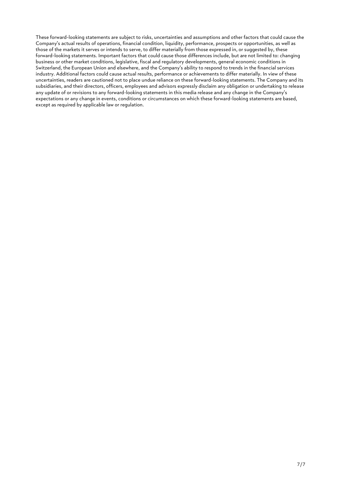These forward-looking statements are subject to risks, uncertainties and assumptions and other factors that could cause the Company's actual results of operations, financial condition, liquidity, performance, prospects or opportunities, as well as those of the markets it serves or intends to serve, to differ materially from those expressed in, or suggested by, these forward-looking statements. Important factors that could cause those differences include, but are not limited to: changing business or other market conditions, legislative, fiscal and regulatory developments, general economic conditions in Switzerland, the European Union and elsewhere, and the Company's ability to respond to trends in the financial services industry. Additional factors could cause actual results, performance or achievements to differ materially. In view of these uncertainties, readers are cautioned not to place undue reliance on these forward-looking statements. The Company and its subsidiaries, and their directors, officers, employees and advisors expressly disclaim any obligation or undertaking to release any update of or revisions to any forward-looking statements in this media release and any change in the Company's expectations or any change in events, conditions or circumstances on which these forward-looking statements are based, except as required by applicable law or regulation.